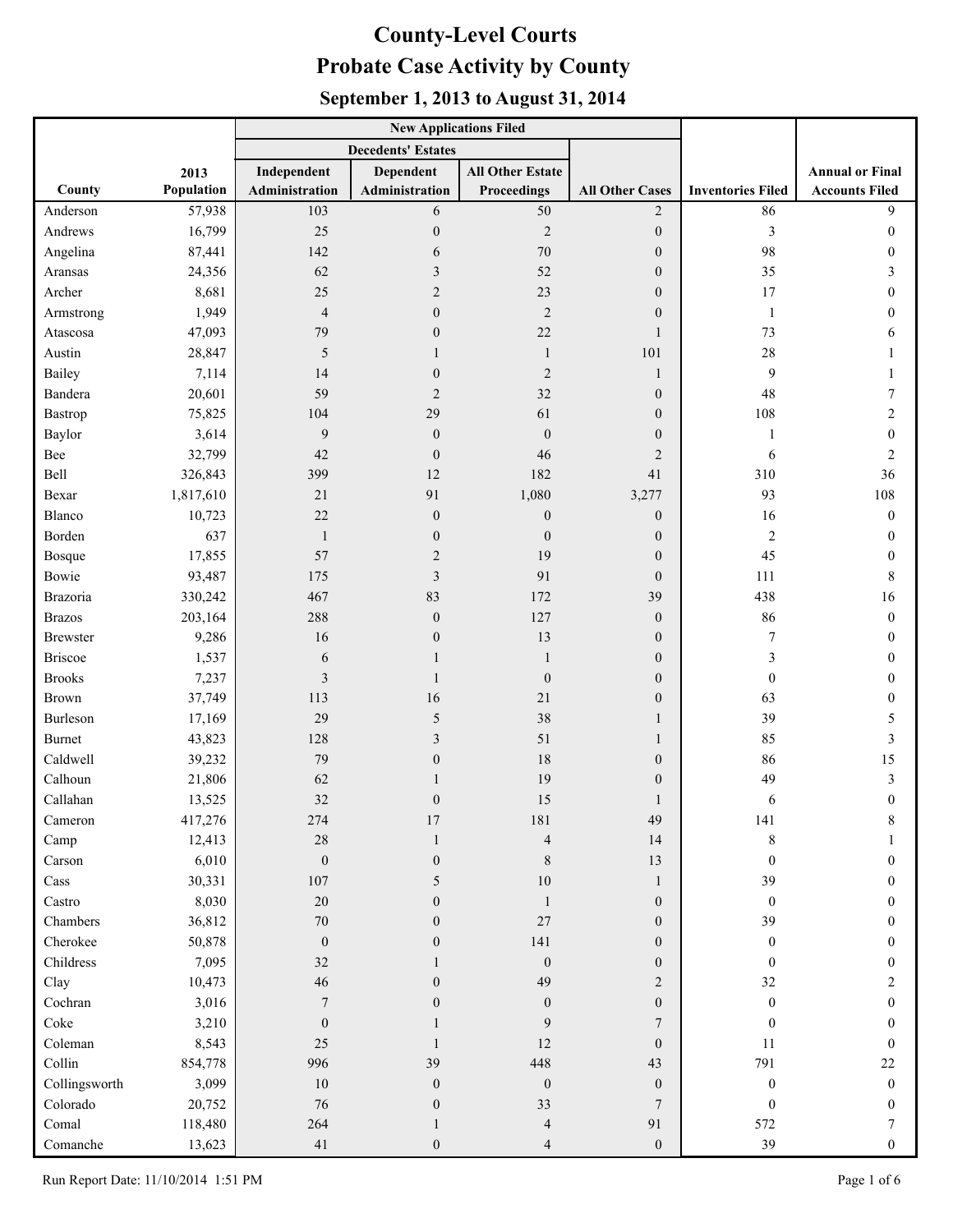|                 |            |                           | <b>New Applications Filed</b> |                          |                        |                          |                        |
|-----------------|------------|---------------------------|-------------------------------|--------------------------|------------------------|--------------------------|------------------------|
|                 |            | <b>Decedents' Estates</b> |                               |                          |                        |                          |                        |
|                 | 2013       | Independent               | Dependent                     | <b>All Other Estate</b>  |                        |                          | <b>Annual or Final</b> |
| County          | Population | Administration            | Administration                | <b>Proceedings</b>       | <b>All Other Cases</b> | <b>Inventories Filed</b> | <b>Accounts Filed</b>  |
| Anderson        | 57,938     | 103                       | 6                             | 50                       | $\overline{2}$         | 86                       | 9                      |
| Andrews         | 16,799     | 25                        | $\boldsymbol{0}$              | $\overline{2}$           | $\boldsymbol{0}$       | 3                        | $\theta$               |
| Angelina        | 87,441     | 142                       | 6                             | 70                       | $\boldsymbol{0}$       | 98                       | $\mathbf{0}$           |
| Aransas         | 24,356     | 62                        | $\mathfrak{Z}$                | 52                       | $\overline{0}$         | 35                       | 3                      |
| Archer          | 8,681      | 25                        | $\overline{2}$                | 23                       | $\overline{0}$         | 17                       | 0                      |
| Armstrong       | 1,949      | $\overline{4}$            | $\boldsymbol{0}$              | $\overline{2}$           | $\mathbf{0}$           | 1                        | $\mathbf{0}$           |
| Atascosa        | 47,093     | 79                        | $\boldsymbol{0}$              | 22                       | 1                      | 73                       | 6                      |
| Austin          | 28,847     | 5                         |                               | $\mathbf{1}$             | 101                    | 28                       |                        |
| Bailey          | 7,114      | 14                        | $\boldsymbol{0}$              | $\overline{2}$           | $\mathbf{1}$           | 9                        |                        |
| Bandera         | 20,601     | 59                        | $\overline{2}$                | 32                       | $\boldsymbol{0}$       | 48                       | 7                      |
| Bastrop         | 75,825     | 104                       | 29                            | 61                       | $\mathbf{0}$           | 108                      | 2                      |
| Baylor          | 3,614      | 9                         | $\boldsymbol{0}$              | $\mathbf{0}$             | $\mathbf{0}$           | 1                        | $\mathbf{0}$           |
| Bee             | 32,799     | 42                        | $\boldsymbol{0}$              | 46                       | $\overline{2}$         | 6                        | 2                      |
| Bell            | 326,843    | 399                       | 12                            | 182                      | 41                     | 310                      | 36                     |
| Bexar           | 1,817,610  | 21                        | 91                            | 1,080                    | 3,277                  | 93                       | 108                    |
| Blanco          | 10,723     | 22                        | $\boldsymbol{0}$              | $\boldsymbol{0}$         | $\boldsymbol{0}$       | 16                       | $\boldsymbol{0}$       |
| Borden          | 637        | $\mathbf{1}$              | $\boldsymbol{0}$              | $\mathbf{0}$             | $\boldsymbol{0}$       | $\overline{c}$           | $\mathbf{0}$           |
| Bosque          | 17,855     | 57                        | $\overline{2}$                | 19                       | $\overline{0}$         | 45                       | $\overline{0}$         |
| Bowie           | 93,487     | 175                       | $\mathfrak{Z}$                | 91                       | $\overline{0}$         | 111                      | 8                      |
| Brazoria        | 330,242    | 467                       | 83                            | 172                      | 39                     | 438                      | 16                     |
| <b>Brazos</b>   | 203,164    | 288                       | $\boldsymbol{0}$              | 127                      | $\boldsymbol{0}$       | 86                       | $\boldsymbol{0}$       |
| <b>Brewster</b> | 9,286      | 16                        | $\boldsymbol{0}$              | 13                       | $\boldsymbol{0}$       | 7                        | $\overline{0}$         |
| <b>Briscoe</b>  | 1,537      | 6                         |                               | 1                        | $\overline{0}$         | 3                        | $\overline{0}$         |
| <b>Brooks</b>   | 7,237      | 3                         | 1                             | $\mathbf{0}$             | $\overline{0}$         | $\mathbf{0}$             | $\mathbf{0}$           |
| Brown           | 37,749     | 113                       | 16                            | 21                       | $\boldsymbol{0}$       | 63                       | $\Omega$               |
| Burleson        | 17,169     | 29                        | 5                             | 38                       | 1                      | 39                       | 5                      |
| Burnet          | 43,823     | 128                       | 3                             | 51                       | 1                      | 85                       | 3                      |
| Caldwell        | 39,232     | 79                        | $\boldsymbol{0}$              | 18                       | $\overline{0}$         | 86                       | 15                     |
| Calhoun         | 21,806     | 62                        |                               | 19                       | $\boldsymbol{0}$       | 49                       | 3                      |
| Callahan        | 13,525     | 32                        | $\boldsymbol{0}$              | 15                       | 1                      | 6                        | $\theta$               |
| Cameron         | 417,276    | 274                       | $17\,$                        | 181                      | 49                     | 141                      | 8                      |
| Camp            | 12,413     | $28\,$                    | 1                             | $\overline{\mathcal{L}}$ | 14                     | $8\,$                    |                        |
| Carson          | 6,010      | $\boldsymbol{0}$          | $\boldsymbol{0}$              | $\,8\,$                  | 13                     | $\theta$                 | $\theta$               |
| Cass            | 30,331     | $107\,$                   | 5                             | $10\,$                   | $\mathbf{1}$           | 39                       | $\overline{0}$         |
| Castro          | 8,030      | $20\,$                    | $\boldsymbol{0}$              | 1                        | $\overline{0}$         | $\boldsymbol{0}$         | $\theta$               |
| Chambers        | 36,812     | $70\,$                    | $\boldsymbol{0}$              | $27\,$                   | $\overline{0}$         | 39                       | 0                      |
| Cherokee        | 50,878     | $\boldsymbol{0}$          | $\boldsymbol{0}$              | 141                      | $\overline{0}$         | $\overline{0}$           | $\theta$               |
| Childress       | 7,095      | 32                        |                               | $\mathbf{0}$             | $\mathbf{0}$           | $\theta$                 | $\theta$               |
| Clay            | 10,473     | 46                        | $\boldsymbol{0}$              | 49                       | $\overline{2}$         | 32                       | 2                      |
| Cochran         | 3,016      | $\overline{7}$            | $\boldsymbol{0}$              | $\mathbf{0}$             | $\overline{0}$         | $\mathbf{0}$             | $\overline{0}$         |
| Coke            | 3,210      | $\boldsymbol{0}$          |                               | 9                        | $\tau$                 | $\mathbf{0}$             | $\Omega$               |
| Coleman         | 8,543      | 25                        |                               | 12                       | $\overline{0}$         | 11                       | $\Omega$               |
| Collin          | 854,778    | 996                       | 39                            | 448                      | 43                     | 791                      | 22                     |
| Collingsworth   | 3,099      | $10\,$                    | $\boldsymbol{0}$              | $\boldsymbol{0}$         | $\overline{0}$         | $\boldsymbol{0}$         | $\overline{0}$         |
| Colorado        | 20,752     | 76                        | $\boldsymbol{0}$              | 33                       | $\overline{7}$         | $\boldsymbol{0}$         | $\overline{0}$         |
| Comal           | 118,480    | 264                       | 1                             | $\overline{4}$           | 91                     | 572                      | 7                      |
| Comanche        | 13,623     | $41\,$                    | $\boldsymbol{0}$              | 4                        | $\mathbf{0}$           | 39                       | $\overline{0}$         |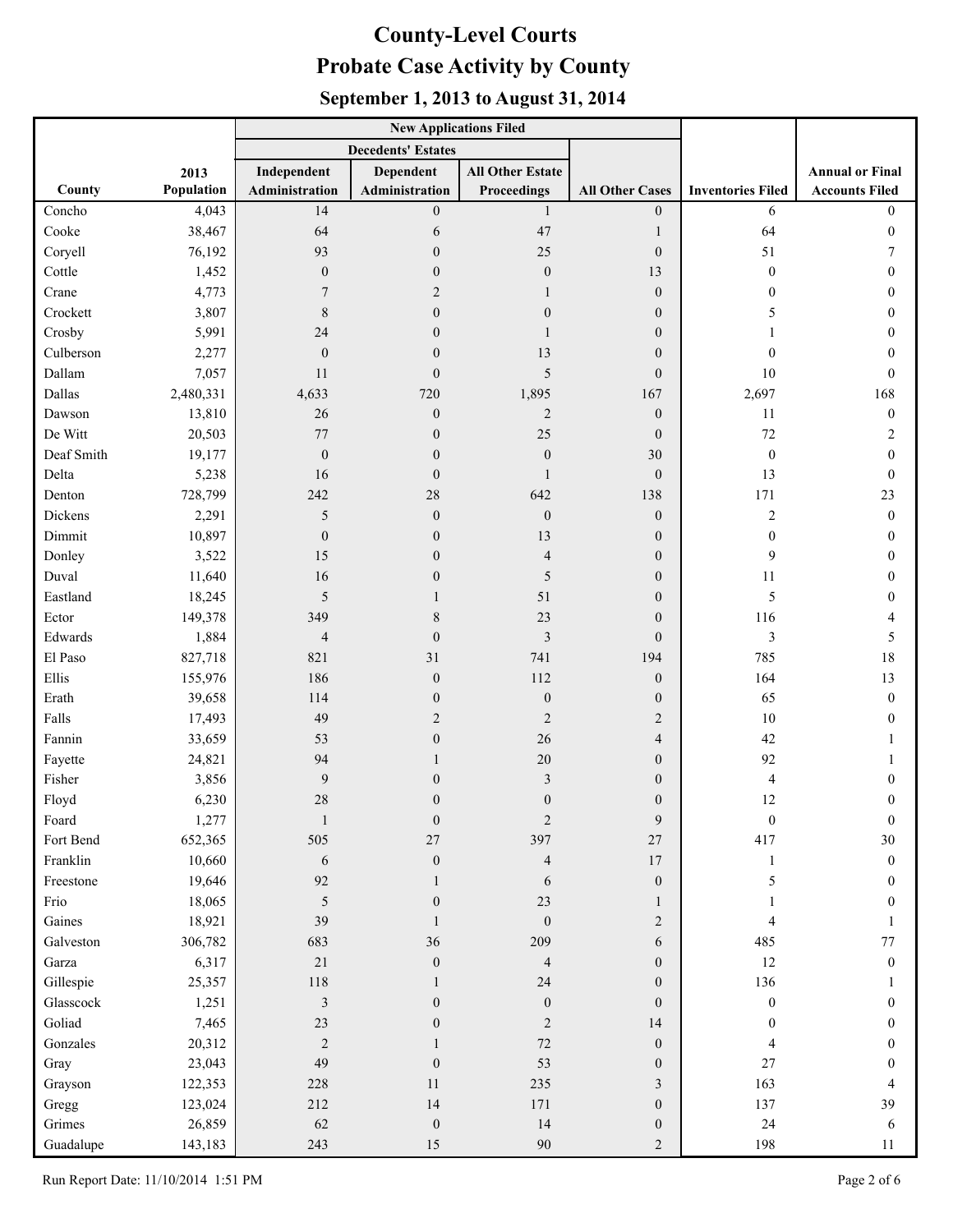|            |            |                           | <b>New Applications Filed</b> |                         |                        |                          |                        |
|------------|------------|---------------------------|-------------------------------|-------------------------|------------------------|--------------------------|------------------------|
|            |            | <b>Decedents' Estates</b> |                               |                         |                        |                          |                        |
|            | 2013       | Independent               | <b>Dependent</b>              | <b>All Other Estate</b> |                        |                          | <b>Annual or Final</b> |
| County     | Population | Administration            | Administration                | Proceedings             | <b>All Other Cases</b> | <b>Inventories Filed</b> | <b>Accounts Filed</b>  |
| Concho     | 4,043      | 14                        | $\boldsymbol{0}$              | $\mathbf{1}$            | $\overline{0}$         | 6                        | $\overline{0}$         |
| Cooke      | 38,467     | 64                        | 6                             | 47                      | 1                      | 64                       | $\theta$               |
| Coryell    | 76,192     | 93                        | $\boldsymbol{0}$              | 25                      | $\boldsymbol{0}$       | 51                       |                        |
| Cottle     | 1,452      | $\mathbf{0}$              | $\boldsymbol{0}$              | $\boldsymbol{0}$        | 13                     | $\boldsymbol{0}$         | 0                      |
| Crane      | 4,773      | 7                         | $\overline{2}$                | 1                       | $\boldsymbol{0}$       | $\mathbf{0}$             | 0                      |
| Crockett   | 3,807      | 8                         | $\boldsymbol{0}$              | $\mathbf{0}$            | $\overline{0}$         | 5                        | 0                      |
| Crosby     | 5,991      | 24                        | $\mathbf{0}$                  | 1                       | $\overline{0}$         |                          | 0                      |
| Culberson  | 2,277      | $\mathbf{0}$              | $\boldsymbol{0}$              | 13                      | $\overline{0}$         | $\mathbf{0}$             | 0                      |
| Dallam     | 7,057      | 11                        | $\boldsymbol{0}$              | 5                       | $\overline{0}$         | 10                       | $\theta$               |
| Dallas     | 2,480,331  | 4,633                     | 720                           | 1,895                   | 167                    | 2,697                    | 168                    |
| Dawson     | 13,810     | 26                        | $\boldsymbol{0}$              | $\overline{2}$          | $\boldsymbol{0}$       | 11                       | $\boldsymbol{0}$       |
| De Witt    | 20,503     | 77                        | $\boldsymbol{0}$              | 25                      | $\boldsymbol{0}$       | 72                       | 2                      |
| Deaf Smith | 19,177     | $\boldsymbol{0}$          | $\boldsymbol{0}$              | $\boldsymbol{0}$        | 30                     | $\boldsymbol{0}$         | $\Omega$               |
| Delta      | 5,238      | 16                        | $\boldsymbol{0}$              | $\mathbf{1}$            | $\mathbf{0}$           | 13                       | $\Omega$               |
| Denton     | 728,799    | 242                       | 28                            | 642                     | 138                    | 171                      | 23                     |
| Dickens    | 2,291      | 5                         | $\boldsymbol{0}$              | $\boldsymbol{0}$        | $\boldsymbol{0}$       | $\overline{\mathbf{c}}$  | $\mathbf{0}$           |
| Dimmit     | 10,897     | $\mathbf{0}$              | $\boldsymbol{0}$              | 13                      | $\boldsymbol{0}$       | $\mathbf{0}$             | $\mathbf{0}$           |
| Donley     | 3,522      | 15                        | $\boldsymbol{0}$              | $\overline{4}$          | $\boldsymbol{0}$       | 9                        | 0                      |
| Duval      | 11,640     | 16                        | $\mathbf{0}$                  | 5                       | $\overline{0}$         | 11                       | 0                      |
| Eastland   | 18,245     | 5                         |                               | 51                      | $\overline{0}$         | 5                        | $\theta$               |
| Ector      | 149,378    | 349                       | $\,$ $\,$                     | 23                      | $\boldsymbol{0}$       | 116                      |                        |
| Edwards    | 1,884      | $\overline{4}$            | $\boldsymbol{0}$              | $\mathfrak{Z}$          | $\boldsymbol{0}$       | 3                        | 5                      |
| El Paso    | 827,718    | 821                       | 31                            | 741                     | 194                    | 785                      | 18                     |
| Ellis      | 155,976    | 186                       | $\boldsymbol{0}$              | 112                     | $\boldsymbol{0}$       | 164                      | 13                     |
| Erath      | 39,658     | 114                       | $\boldsymbol{0}$              | $\boldsymbol{0}$        | $\boldsymbol{0}$       | 65                       | $\theta$               |
| Falls      | 17,493     | 49                        | $\overline{2}$                | $\overline{2}$          | 2                      | 10                       | $\Omega$               |
| Fannin     | 33,659     | 53                        | $\boldsymbol{0}$              | 26                      | $\overline{4}$         | 42                       |                        |
| Fayette    | 24,821     | 94                        |                               | 20                      | $\boldsymbol{0}$       | 92                       |                        |
| Fisher     | 3,856      | 9                         | $\boldsymbol{0}$              | $\mathfrak{Z}$          | $\boldsymbol{0}$       | 4                        | $\theta$               |
| Floyd      | 6,230      | 28                        | $\boldsymbol{0}$              | $\mathbf{0}$            | $\overline{0}$         | 12                       | $\theta$               |
| Foard      | 1,277      | 1                         | $\boldsymbol{0}$              | $\overline{c}$          | 9                      | $\boldsymbol{0}$         | $\overline{0}$         |
| Fort Bend  | 652,365    | 505                       | $27\,$                        | 397                     | $27\,$                 | 417                      | 30                     |
| Franklin   | 10,660     | 6                         | $\boldsymbol{0}$              | $\overline{4}$          | 17                     | $\mathbf{1}$             | $\mathbf{0}$           |
| Freestone  | 19,646     | 92                        | 1                             | 6                       | $\mathbf{0}$           | 5                        | 0                      |
| Frio       | 18,065     | $\overline{5}$            | $\boldsymbol{0}$              | 23                      | 1                      |                          | $\theta$               |
| Gaines     | 18,921     | 39                        | 1                             | $\mathbf{0}$            | $\overline{2}$         | 4                        |                        |
| Galveston  | 306,782    | 683                       | 36                            | 209                     | 6                      | 485                      | $77\,$                 |
| Garza      | 6,317      | $21\,$                    | $\boldsymbol{0}$              | $\overline{4}$          | $\boldsymbol{0}$       | $12\,$                   | $\mathbf{0}$           |
| Gillespie  | 25,357     | $118\,$                   | 1                             | 24                      | $\boldsymbol{0}$       | 136                      | 1                      |
| Glasscock  | 1,251      | $\mathfrak{Z}$            | $\boldsymbol{0}$              | $\mathbf{0}$            | $\boldsymbol{0}$       | $\boldsymbol{0}$         | $\overline{0}$         |
| Goliad     | 7,465      | 23                        | $\boldsymbol{0}$              | $\overline{2}$          | 14                     | $\boldsymbol{0}$         | $\overline{0}$         |
| Gonzales   | 20,312     | $\overline{2}$            |                               | $72\,$                  | $\boldsymbol{0}$       | 4                        | 0                      |
| Gray       | 23,043     | 49                        | $\boldsymbol{0}$              | 53                      | $\boldsymbol{0}$       | $27\,$                   | $\theta$               |
| Grayson    | 122,353    | 228                       | 11                            | 235                     | $\mathfrak{Z}$         | 163                      | 4                      |
| Gregg      | 123,024    | 212                       | 14                            | 171                     | $\boldsymbol{0}$       | 137                      | 39                     |
| Grimes     | 26,859     | 62                        | $\boldsymbol{0}$              | 14                      | $\boldsymbol{0}$       | $24\,$                   | 6                      |
| Guadalupe  | 143,183    | 243                       | 15                            | 90                      | $\overline{2}$         | 198                      | 11                     |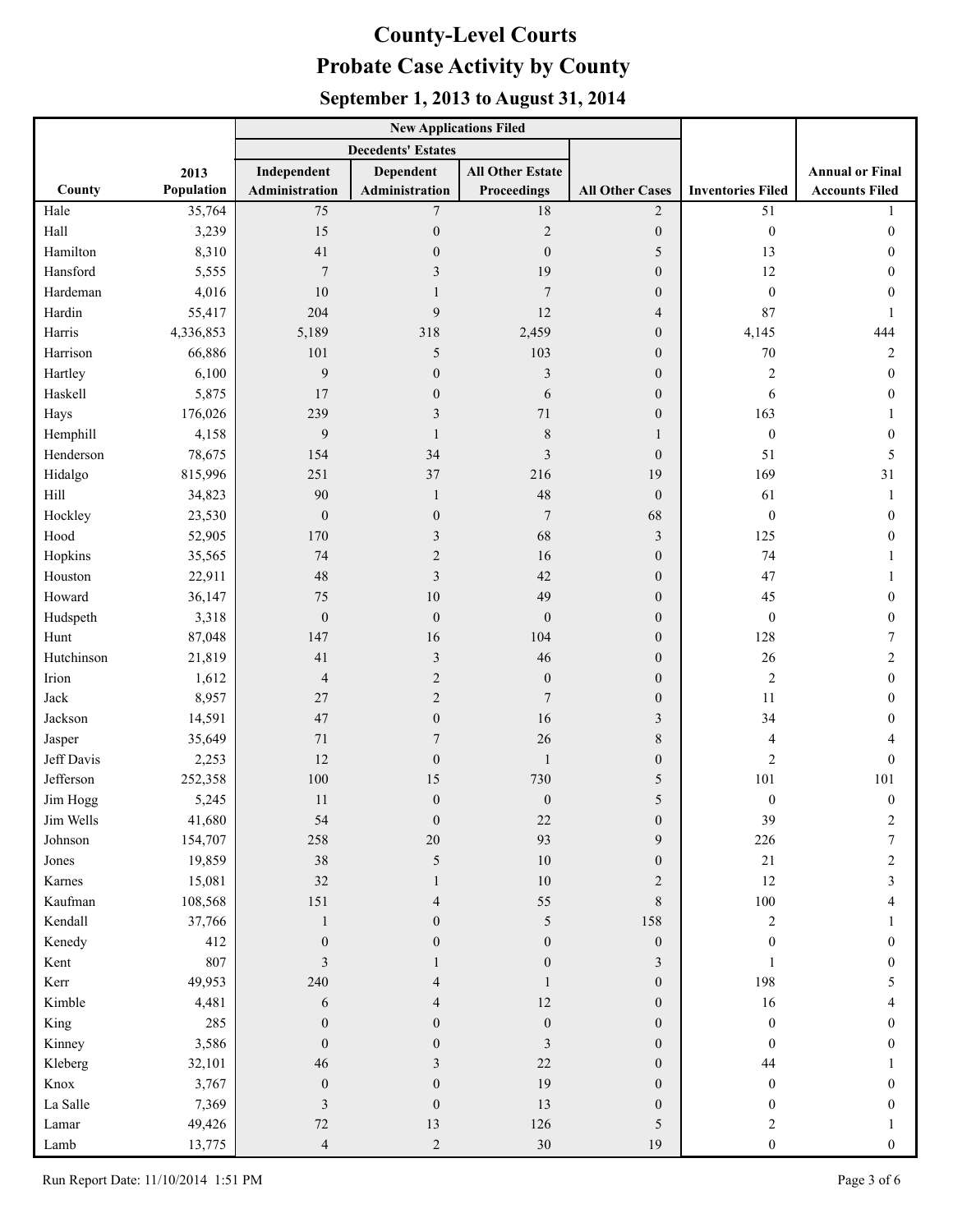|            |            |                           | <b>New Applications Filed</b> |                         |                        |                          |                        |
|------------|------------|---------------------------|-------------------------------|-------------------------|------------------------|--------------------------|------------------------|
|            |            | <b>Decedents' Estates</b> |                               |                         |                        |                          |                        |
|            | 2013       | Independent               | <b>Dependent</b>              | <b>All Other Estate</b> |                        |                          | <b>Annual or Final</b> |
| County     | Population | Administration            | Administration                | Proceedings             | <b>All Other Cases</b> | <b>Inventories Filed</b> | <b>Accounts Filed</b>  |
| Hale       | 35,764     | 75                        | $\overline{7}$                | $18\,$                  | $\overline{2}$         | 51                       |                        |
| Hall       | 3,239      | 15                        | $\boldsymbol{0}$              | $\sqrt{2}$              | $\mathbf{0}$           | $\boldsymbol{0}$         | $\mathbf{0}$           |
| Hamilton   | 8,310      | 41                        | $\boldsymbol{0}$              | $\overline{0}$          | 5                      | 13                       | 0                      |
| Hansford   | 5,555      | 7                         | 3                             | 19                      | $\boldsymbol{0}$       | 12                       | 0                      |
| Hardeman   | 4,016      | 10                        | $\mathbf{1}$                  | $\overline{7}$          | $\boldsymbol{0}$       | $\boldsymbol{0}$         | 0                      |
| Hardin     | 55,417     | 204                       | 9                             | 12                      | $\overline{4}$         | 87                       | 1                      |
| Harris     | 4,336,853  | 5,189                     | 318                           | 2,459                   | $\overline{0}$         | 4,145                    | 444                    |
| Harrison   | 66,886     | 101                       | 5                             | 103                     | $\overline{0}$         | $70\,$                   | $\overline{c}$         |
| Hartley    | 6,100      | 9                         | $\mathbf{0}$                  | $\mathfrak{Z}$          | $\overline{0}$         | $\overline{c}$           | $\boldsymbol{0}$       |
| Haskell    | 5,875      | 17                        | $\boldsymbol{0}$              | 6                       | $\boldsymbol{0}$       | 6                        | $\mathbf{0}$           |
| Hays       | 176,026    | 239                       | 3                             | 71                      | $\mathbf{0}$           | 163                      |                        |
| Hemphill   | 4,158      | 9                         | $\mathbf{1}$                  | $\,$ $\,$               | $\mathbf{1}$           | $\boldsymbol{0}$         | $\mathbf{0}$           |
| Henderson  | 78,675     | 154                       | 34                            | $\mathfrak{Z}$          | $\theta$               | 51                       | 5                      |
| Hidalgo    | 815,996    | 251                       | 37                            | 216                     | 19                     | 169                      | 31                     |
| Hill       | 34,823     | 90                        | $\mathbf{1}$                  | 48                      | $\theta$               | 61                       | 1                      |
| Hockley    | 23,530     | $\boldsymbol{0}$          | $\boldsymbol{0}$              | $\tau$                  | 68                     | $\boldsymbol{0}$         | $\boldsymbol{0}$       |
| Hood       | 52,905     | 170                       | 3                             | 68                      | 3                      | 125                      | 0                      |
| Hopkins    | 35,565     | 74                        | $\overline{c}$                | 16                      | $\overline{0}$         | 74                       |                        |
| Houston    | 22,911     | 48                        | $\overline{\mathbf{3}}$       | 42                      | $\overline{0}$         | 47                       | 1                      |
| Howard     | 36,147     | 75                        | 10                            | 49                      | $\overline{0}$         | 45                       | 0                      |
| Hudspeth   | 3,318      | $\boldsymbol{0}$          | $\boldsymbol{0}$              | $\boldsymbol{0}$        | $\boldsymbol{0}$       | $\boldsymbol{0}$         | $\boldsymbol{0}$       |
| Hunt       | 87,048     | 147                       | 16                            | 104                     | $\boldsymbol{0}$       | 128                      | 7                      |
| Hutchinson | 21,819     | 41                        | $\mathfrak{Z}$                | 46                      | $\boldsymbol{0}$       | 26                       | 2                      |
| Irion      | 1,612      | $\overline{4}$            | $\overline{c}$                | $\mathbf{0}$            | $\boldsymbol{0}$       | $\overline{c}$           | $\mathbf{0}$           |
| Jack       | 8,957      | 27                        | $\overline{c}$                | $\overline{7}$          | $\boldsymbol{0}$       | 11                       | 0                      |
| Jackson    | 14,591     | 47                        | $\boldsymbol{0}$              | 16                      | 3                      | 34                       | 0                      |
| Jasper     | 35,649     | 71                        | $\sqrt{ }$                    | 26                      | $\,$ 8 $\,$            | 4                        | 4                      |
| Jeff Davis | 2,253      | 12                        | $\boldsymbol{0}$              | $\mathbf{1}$            | $\boldsymbol{0}$       | $\overline{2}$           | $\mathbf{0}$           |
| Jefferson  | 252,358    | 100                       | 15                            | 730                     | 5                      | 101                      | 101                    |
| Jim Hogg   | 5,245      | 11                        | $\boldsymbol{0}$              | $\boldsymbol{0}$        | 5                      | $\boldsymbol{0}$         | $\mathbf{0}$           |
| Jim Wells  | 41,680     | 54                        | $\boldsymbol{0}$              | $22\,$                  | $\boldsymbol{0}$       | 39                       | 2                      |
| Johnson    | 154,707    | 258                       | 20                            | 93                      | 9                      | 226                      | 7                      |
| Jones      | 19,859     | 38                        | 5                             | $10\,$                  | $\boldsymbol{0}$       | 21                       | 2                      |
| Karnes     | 15,081     | 32                        | 1                             | $10\,$                  | $\overline{2}$         | 12                       | 3                      |
| Kaufman    | 108,568    | 151                       | 4                             | 55                      | $\,$ 8 $\,$            | $100\,$                  | 4                      |
| Kendall    | 37,766     | $\mathbf{1}$              | $\overline{0}$                | 5                       | 158                    | $\sqrt{2}$               |                        |
| Kenedy     | 412        | $\boldsymbol{0}$          | $\boldsymbol{0}$              | $\overline{0}$          | $\boldsymbol{0}$       | $\mathbf{0}$             | 0                      |
| Kent       | 807        | 3                         |                               | $\theta$                | 3                      |                          | 0                      |
| Kerr       | 49,953     | 240                       | 4                             |                         | $\boldsymbol{0}$       | 198                      | 5                      |
| Kimble     | 4,481      | 6                         | 4                             | 12                      | $\boldsymbol{0}$       | 16                       | 4                      |
| King       | 285        | $\mathbf{0}$              | $\boldsymbol{0}$              | $\boldsymbol{0}$        | $\overline{0}$         | $\boldsymbol{0}$         | $\mathbf{0}$           |
| Kinney     | 3,586      | $\theta$                  | $\boldsymbol{0}$              | 3                       | $\theta$               | $\theta$                 | 0                      |
| Kleberg    | 32,101     | 46                        | 3                             | 22                      | $\overline{0}$         | 44                       |                        |
| Knox       | 3,767      | $\boldsymbol{0}$          | $\boldsymbol{0}$              | 19                      | $\overline{0}$         | $\boldsymbol{0}$         | 0                      |
| La Salle   | 7,369      | 3                         | $\boldsymbol{0}$              | 13                      | $\theta$               | $\mathbf{0}$             | 0                      |
| Lamar      | 49,426     | 72                        | 13                            | 126                     | 5                      | 2                        |                        |
| Lamb       | 13,775     | $\sqrt{4}$                | $\overline{c}$                | 30                      | 19                     | $\boldsymbol{0}$         | $\overline{0}$         |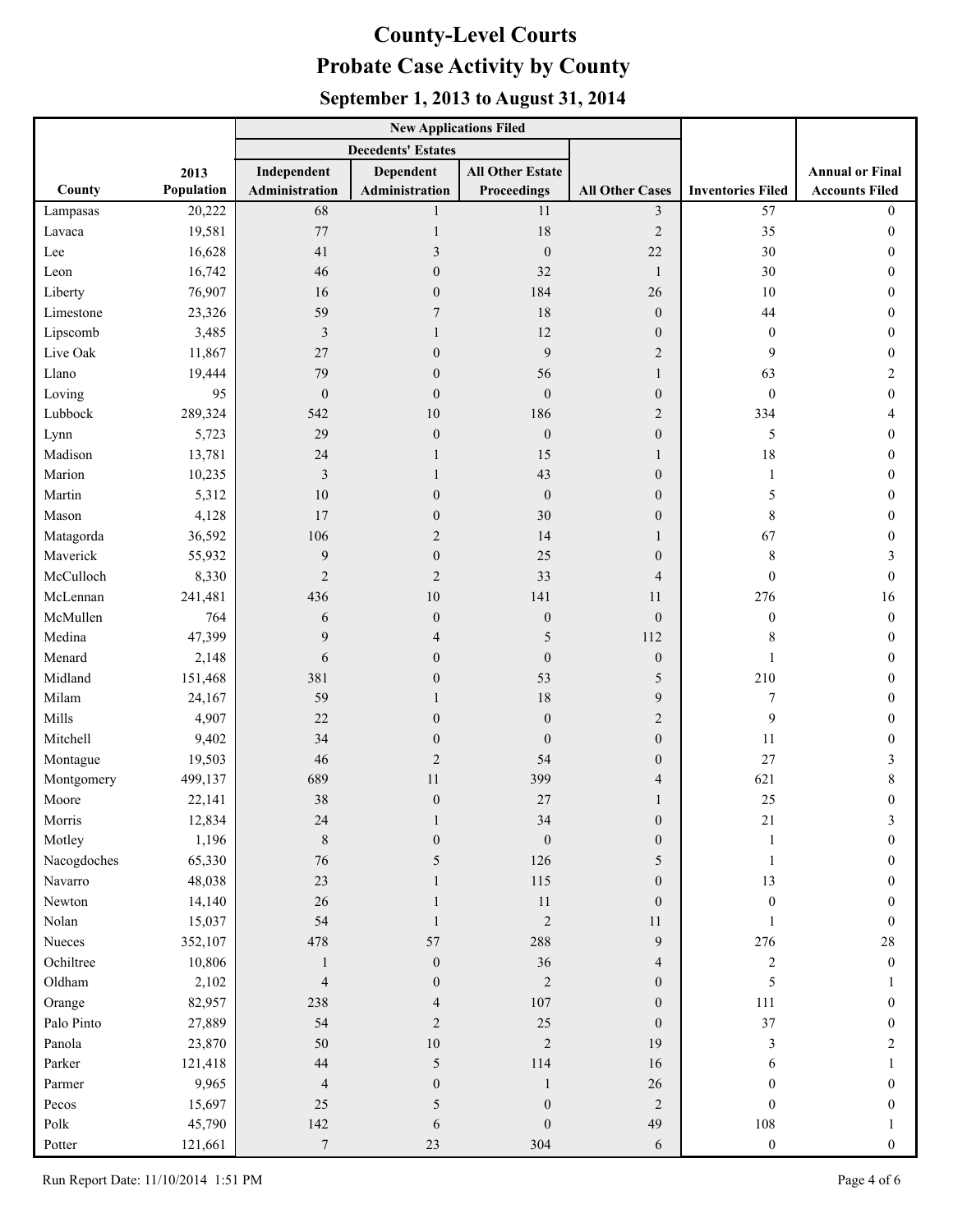|             |            |                           | <b>New Applications Filed</b> |                         |                        |                          |                        |
|-------------|------------|---------------------------|-------------------------------|-------------------------|------------------------|--------------------------|------------------------|
|             |            | <b>Decedents' Estates</b> |                               |                         |                        |                          |                        |
|             | 2013       | Independent               | <b>Dependent</b>              | <b>All Other Estate</b> |                        |                          | <b>Annual or Final</b> |
| County      | Population | Administration            | Administration                | <b>Proceedings</b>      | <b>All Other Cases</b> | <b>Inventories Filed</b> | <b>Accounts Filed</b>  |
| Lampasas    | 20,222     | 68                        | 1                             | 11                      | $\mathfrak{Z}$         | 57                       | $\theta$               |
| Lavaca      | 19,581     | 77                        | 1                             | 18                      | $\mathbf{2}$           | 35                       | $\overline{0}$         |
| Lee         | 16,628     | 41                        | 3                             | $\boldsymbol{0}$        | $22\,$                 | 30                       | $\mathbf{0}$           |
| Leon        | 16,742     | 46                        | $\boldsymbol{0}$              | 32                      | $\mathbf{1}$           | $30\,$                   | 0                      |
| Liberty     | 76,907     | 16                        | $\boldsymbol{0}$              | 184                     | 26                     | $10\,$                   | $\mathbf{0}$           |
| Limestone   | 23,326     | 59                        | 7                             | 18                      | $\theta$               | 44                       | $\theta$               |
| Lipscomb    | 3,485      | 3                         |                               | 12                      | $\overline{0}$         | $\mathbf{0}$             | 0                      |
| Live Oak    | 11,867     | 27                        | $\theta$                      | 9                       | $\overline{2}$         | 9                        | $\Omega$               |
| Llano       | 19,444     | 79                        | $\boldsymbol{0}$              | 56                      | 1                      | 63                       | 2                      |
| Loving      | 95         | $\boldsymbol{0}$          | $\boldsymbol{0}$              | $\mathbf{0}$            | $\boldsymbol{0}$       | $\mathbf{0}$             | $\overline{0}$         |
| Lubbock     | 289,324    | 542                       | 10                            | 186                     | $\overline{2}$         | 334                      | 4                      |
| Lynn        | 5,723      | 29                        | $\boldsymbol{0}$              | $\mathbf{0}$            | $\overline{0}$         | 5                        | $\mathbf{0}$           |
| Madison     | 13,781     | 24                        |                               | 15                      | 1                      | 18                       | $\theta$               |
| Marion      | 10,235     | 3                         |                               | 43                      | $\overline{0}$         | 1                        | $\Omega$               |
| Martin      | 5,312      | 10                        | $\boldsymbol{0}$              | $\boldsymbol{0}$        | $\overline{0}$         | 5                        | 0                      |
| Mason       | 4,128      | 17                        | $\boldsymbol{0}$              | 30                      | $\overline{0}$         | 8                        | 0                      |
| Matagorda   | 36,592     | 106                       | $\overline{c}$                | 14                      | 1                      | 67                       | 0                      |
| Maverick    | 55,932     | 9                         | $\boldsymbol{0}$              | 25                      | $\overline{0}$         | 8                        | 3                      |
| McCulloch   | 8,330      | $\overline{2}$            | $\overline{c}$                | 33                      | $\overline{4}$         | $\mathbf{0}$             | $\theta$               |
| McLennan    | 241,481    | 436                       | 10                            | 141                     | 11                     | 276                      | 16                     |
| McMullen    | 764        | 6                         | $\boldsymbol{0}$              | $\boldsymbol{0}$        | $\theta$               | $\mathbf{0}$             | $\overline{0}$         |
| Medina      | 47,399     | 9                         | $\overline{4}$                | 5                       | 112                    | 8                        | $\boldsymbol{0}$       |
| Menard      | 2,148      | 6                         | $\boldsymbol{0}$              | $\mathbf{0}$            | $\boldsymbol{0}$       |                          | $\mathbf{0}$           |
| Midland     | 151,468    | 381                       | $\boldsymbol{0}$              | 53                      | 5                      | 210                      | $\theta$               |
| Milam       | 24,167     | 59                        |                               | 18                      | 9                      | 7                        | $\theta$               |
| Mills       | 4,907      | 22                        | $\boldsymbol{0}$              | $\mathbf{0}$            | $\overline{2}$         | 9                        | 0                      |
| Mitchell    | 9,402      | 34                        | $\boldsymbol{0}$              | $\boldsymbol{0}$        | $\boldsymbol{0}$       | 11                       | 0                      |
| Montague    | 19,503     | 46                        | $\overline{c}$                | 54                      | $\overline{0}$         | 27                       | 3                      |
| Montgomery  | 499,137    | 689                       | 11                            | 399                     | 4                      | 621                      | 8                      |
| Moore       | 22,141     | 38                        | $\boldsymbol{0}$              | 27                      | $\mathbf{1}$           | 25                       | $\Omega$               |
| Morris      | 12,834     | $24\,$                    |                               | 34                      | $\mathbf{0}$           | 21                       | 3                      |
| Motley      | 1,196      | $\,8\,$                   | $\boldsymbol{0}$              | $\boldsymbol{0}$        | $\boldsymbol{0}$       | $\mathbf{1}$             | $\overline{0}$         |
| Nacogdoches | 65,330     | $76\,$                    | 5                             | 126                     | 5                      | 1                        | $\overline{0}$         |
| Navarro     | 48,038     | 23                        |                               | 115                     | $\overline{0}$         | 13                       | $\overline{0}$         |
| Newton      | 14,140     | $26\,$                    | 1                             | 11                      | $\overline{0}$         | $\mathbf{0}$             | $\Omega$               |
| Nolan       | 15,037     | 54                        | 1                             | $\overline{2}$          | 11                     | 1                        | $\theta$               |
| Nueces      | 352,107    | 478                       | 57                            | 288                     | 9                      | 276                      | $28\,$                 |
| Ochiltree   | 10,806     | $\mathbf{1}$              | $\boldsymbol{0}$              | 36                      | $\overline{4}$         | $\mathbf{2}$             | $\overline{0}$         |
| Oldham      | 2,102      | $\overline{4}$            | $\boldsymbol{0}$              | $\sqrt{2}$              | $\overline{0}$         | 5                        |                        |
| Orange      | 82,957     | 238                       | $\overline{\mathcal{A}}$      | 107                     | $\overline{0}$         | 111                      | $\overline{0}$         |
| Palo Pinto  | 27,889     | 54                        | $\mathbf{2}$                  | 25                      | $\overline{0}$         | 37                       | $\theta$               |
| Panola      | 23,870     | 50                        | $10\,$                        | $\overline{2}$          | 19                     | 3                        | 2                      |
| Parker      | 121,418    | $44\,$                    | $\sqrt{5}$                    | 114                     | 16                     | 6                        |                        |
| Parmer      | 9,965      | $\overline{\mathcal{A}}$  | $\boldsymbol{0}$              | $\mathbf{1}$            | 26                     | $\mathbf{0}$             | $\overline{0}$         |
| Pecos       | 15,697     | 25                        | $\sqrt{5}$                    | $\boldsymbol{0}$        | $\overline{2}$         | $\overline{0}$           | $\overline{0}$         |
| Polk        | 45,790     | 142                       | $\sqrt{6}$                    | $\boldsymbol{0}$        | 49                     | $108\,$                  |                        |
| Potter      | 121,661    | $\boldsymbol{7}$          | $23\,$                        | 304                     | 6                      | $\boldsymbol{0}$         | $\overline{0}$         |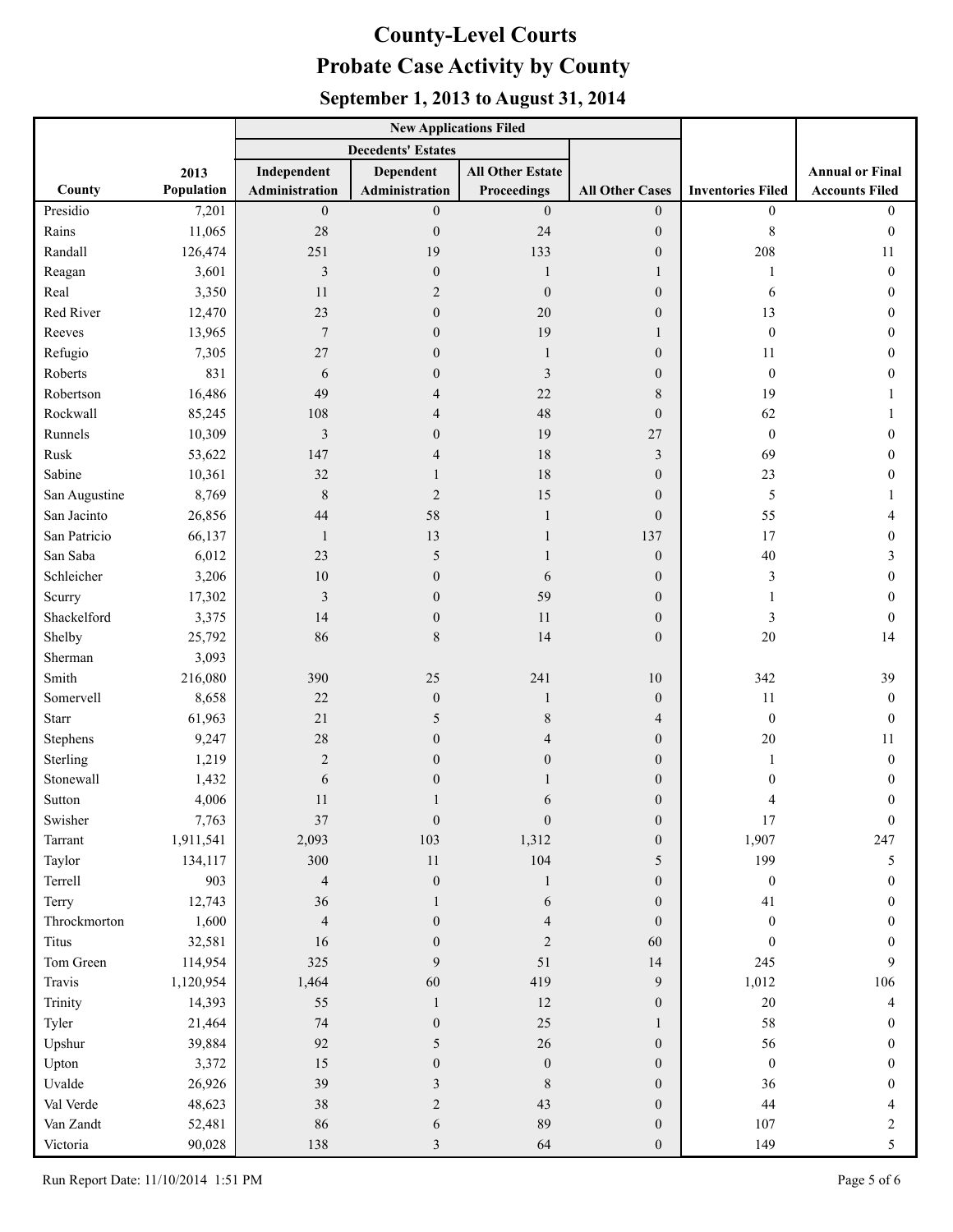|               |            |                           | <b>New Applications Filed</b> |                         |                        |                          |                        |
|---------------|------------|---------------------------|-------------------------------|-------------------------|------------------------|--------------------------|------------------------|
|               |            | <b>Decedents' Estates</b> |                               |                         |                        |                          |                        |
|               | 2013       | Independent               | <b>Dependent</b>              | <b>All Other Estate</b> |                        |                          | <b>Annual or Final</b> |
| County        | Population | Administration            | Administration                | Proceedings             | <b>All Other Cases</b> | <b>Inventories Filed</b> | <b>Accounts Filed</b>  |
| Presidio      | 7,201      | $\boldsymbol{0}$          | $\boldsymbol{0}$              | $\boldsymbol{0}$        | $\mathbf{0}$           | $\mathbf{0}$             | $\overline{0}$         |
| Rains         | 11,065     | 28                        | $\boldsymbol{0}$              | 24                      | $\overline{0}$         | 8                        | $\theta$               |
| Randall       | 126,474    | 251                       | 19                            | 133                     | $\mathbf{0}$           | 208                      | 11                     |
| Reagan        | 3,601      | 3                         | $\boldsymbol{0}$              | 1                       | 1                      | 1                        | $\mathbf{0}$           |
| Real          | 3,350      | 11                        | $\overline{2}$                | $\boldsymbol{0}$        | $\overline{0}$         | 6                        | 0                      |
| Red River     | 12,470     | 23                        | $\mathbf{0}$                  | 20                      | $\overline{0}$         | 13                       | 0                      |
| Reeves        | 13,965     | $\overline{7}$            | $\boldsymbol{0}$              | 19                      | 1                      | $\mathbf{0}$             | 0                      |
| Refugio       | 7,305      | 27                        | $\boldsymbol{0}$              | 1                       | $\mathbf{0}$           | 11                       | 0                      |
| Roberts       | 831        | 6                         | $\boldsymbol{0}$              | 3                       | $\theta$               | $\mathbf{0}$             | 0                      |
| Robertson     | 16,486     | 49                        | 4                             | 22                      | 8                      | 19                       |                        |
| Rockwall      | 85,245     | 108                       | $\overline{4}$                | 48                      | $\boldsymbol{0}$       | 62                       |                        |
| Runnels       | 10,309     | 3                         | $\mathbf{0}$                  | 19                      | 27                     | $\boldsymbol{0}$         | 0                      |
| Rusk          | 53,622     | 147                       | 4                             | 18                      | $\mathfrak{Z}$         | 69                       | 0                      |
| Sabine        | 10,361     | 32                        | 1                             | 18                      | $\mathbf{0}$           | 23                       | 0                      |
| San Augustine | 8,769      | 8                         | $\overline{2}$                | 15                      | $\theta$               | 5                        |                        |
| San Jacinto   | 26,856     | 44                        | 58                            | 1                       | $\overline{0}$         | 55                       | 4                      |
| San Patricio  | 66,137     | $\mathbf{1}$              | 13                            | 1                       | 137                    | 17                       | 0                      |
| San Saba      | 6,012      | 23                        | 5                             | 1                       | $\overline{0}$         | 40                       | 3                      |
| Schleicher    | 3,206      | 10                        | $\mathbf{0}$                  | 6                       | $\theta$               | 3                        | 0                      |
| Scurry        | 17,302     | $\mathfrak{Z}$            | $\mathbf{0}$                  | 59                      | $\theta$               | 1                        | 0                      |
| Shackelford   | 3,375      | 14                        | $\boldsymbol{0}$              | 11                      | $\boldsymbol{0}$       | 3                        | $\mathbf{0}$           |
| Shelby        | 25,792     | 86                        | $\,$ $\,$                     | 14                      | $\mathbf{0}$           | 20                       | 14                     |
| Sherman       | 3,093      |                           |                               |                         |                        |                          |                        |
| Smith         | 216,080    | 390                       | 25                            | 241                     | 10                     | 342                      | 39                     |
| Somervell     | 8,658      | 22                        | $\boldsymbol{0}$              | 1                       | $\boldsymbol{0}$       | 11                       | $\mathbf{0}$           |
| Starr         | 61,963     | 21                        | 5                             | 8                       | $\overline{4}$         | $\mathbf{0}$             | $\mathbf{0}$           |
| Stephens      | 9,247      | 28                        | $\mathbf{0}$                  | 4                       | $\theta$               | $20\,$                   | 11                     |
| Sterling      | 1,219      | $\overline{2}$            | $\mathbf{0}$                  | $\overline{0}$          | $\theta$               | 1                        | $\mathbf{0}$           |
| Stonewall     | 1,432      | 6                         | $\boldsymbol{0}$              |                         | $\boldsymbol{0}$       | 0                        | $\boldsymbol{0}$       |
| Sutton        | 4,006      | 11                        | 1                             | 6                       | $\mathbf{0}$           | 4                        | $\mathbf{0}$           |
| Swisher       | 7,763      | 37                        | $\boldsymbol{0}$              | $\boldsymbol{0}$        | $\boldsymbol{0}$       | 17                       | $\mathbf{0}$           |
| Tarrant       | 1,911,541  | 2,093                     | 103                           | 1,312                   | $\boldsymbol{0}$       | 1,907                    | 247                    |
| Taylor        | 134,117    | 300                       | 11                            | 104                     | 5                      | 199                      | 5                      |
| Terrell       | 903        | $\overline{4}$            | $\boldsymbol{0}$              | 1                       | $\overline{0}$         | $\boldsymbol{0}$         | $\boldsymbol{0}$       |
| Terry         | 12,743     | 36                        | 1                             | 6                       | $\overline{0}$         | 41                       | $\mathbf{0}$           |
| Throckmorton  | 1,600      | $\overline{4}$            | $\boldsymbol{0}$              | 4                       | $\overline{0}$         | $\mathbf{0}$             | 0                      |
| <b>Titus</b>  | 32,581     | 16                        | $\boldsymbol{0}$              | $\overline{2}$          | 60                     | $\boldsymbol{0}$         | 0                      |
| Tom Green     | 114,954    | 325                       | 9                             | 51                      | 14                     | 245                      | 9                      |
| Travis        | 1,120,954  | 1,464                     | 60                            | 419                     | 9                      | 1,012                    | 106                    |
| Trinity       | 14,393     | 55                        | $\mathbf{1}$                  | 12                      | $\boldsymbol{0}$       | $20\,$                   | 4                      |
| Tyler         | 21,464     | $74\,$                    | $\boldsymbol{0}$              | 25                      | $\mathbf{1}$           | 58                       | $\boldsymbol{0}$       |
| Upshur        | 39,884     | 92                        | 5                             | $26\,$                  | $\boldsymbol{0}$       | 56                       | $\theta$               |
| Upton         | 3,372      | 15                        | $\boldsymbol{0}$              | $\boldsymbol{0}$        | $\overline{0}$         | $\boldsymbol{0}$         | 0                      |
| Uvalde        | 26,926     | 39                        | 3                             | $\,$ 8 $\,$             | $\boldsymbol{0}$       | 36                       | 0                      |
| Val Verde     | 48,623     | $38\,$                    | $\overline{c}$                | 43                      | $\overline{0}$         | 44                       | 4                      |
| Van Zandt     | 52,481     | 86                        | 6                             | 89                      | $\mathbf{0}$           | 107                      | 2                      |
| Victoria      | 90,028     | 138                       | 3                             | 64                      | $\mathbf{0}$           | 149                      | 5                      |